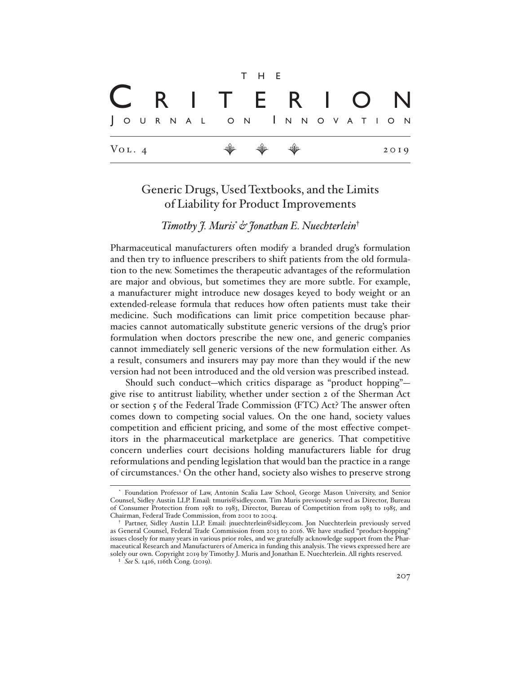|  |                     |  |  |  |  |                       | T H E |                                                                      |  |  |  |  |  |                   |  |      |  |
|--|---------------------|--|--|--|--|-----------------------|-------|----------------------------------------------------------------------|--|--|--|--|--|-------------------|--|------|--|
|  |                     |  |  |  |  |                       |       |                                                                      |  |  |  |  |  | C R I T E R I O N |  |      |  |
|  |                     |  |  |  |  | JOURNAL ON INNOVATION |       |                                                                      |  |  |  |  |  |                   |  |      |  |
|  | $V_{\text{OL}}$ . 4 |  |  |  |  |                       |       | $\begin{array}{ccccccccccccc} \psi & \psi & \psi & \psi \end{array}$ |  |  |  |  |  |                   |  | 2019 |  |

# Generic Drugs, Used Textbooks, and the Limits of Liability for Product Improvements

# *Timothy J. Muris*\**& Jonathan E. Nuechterlein*†

Pharmaceutical manufacturers often modify a branded drug's formulation and then try to influence prescribers to shift patients from the old formulation to the new. Sometimes the therapeutic advantages of the reformulation are major and obvious, but sometimes they are more subtle. For example, a manufacturer might introduce new dosages keyed to body weight or an extended-release formula that reduces how often patients must take their medicine. Such modifications can limit price competition because pharmacies cannot automatically substitute generic versions of the drug's prior formulation when doctors prescribe the new one, and generic companies cannot immediately sell generic versions of the new formulation either. As a result, consumers and insurers may pay more than they would if the new version had not been introduced and the old version was prescribed instead.

Should such conduct—which critics disparage as "product hopping" give rise to antitrust liability, whether under section 2 of the Sherman Act or section 5 of the Federal Trade Commission (FTC) Act? The answer often comes down to competing social values. On the one hand, society values competition and efficient pricing, and some of the most effective competitors in the pharmaceutical marketplace are generics. That competitive concern underlies court decisions holding manufacturers liable for drug reformulations and pending legislation that would ban the practice in a range of circumstances.1 On the other hand, society also wishes to preserve strong

<sup>\*</sup> Foundation Professor of Law, Antonin Scalia Law School, George Mason University, and Senior Counsel, Sidley Austin LLP. Email: tmuris@sidley.com. Tim Muris previously served as Director, Bureau of Consumer Protection from 1981 to 1983, Director, Bureau of Competition from 1983 to 1985, and Chairman, Federal Trade Commission, from 2001 to 2004.

<sup>†</sup> Partner, Sidley Austin LLP. Email: jnuechterlein@sidley.com. Jon Nuechterlein previously served as General Counsel, Federal Trade Commission from 2013 to 2016. We have studied "product-hopping" issues closely for many years in various prior roles, and we gratefully acknowledge support from the Pharmaceutical Research and Manufacturers of America in funding this analysis. The views expressed here are solely our own. Copyright 2019 by Timothy J. Muris and Jonathan E. Nuechterlein. All rights reserved.

<sup>1</sup> *See* S. 1416, 116th Cong. (2019).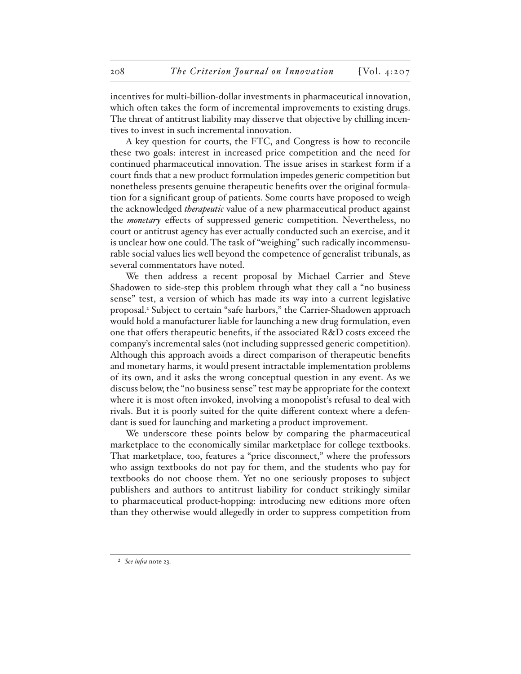incentives for multi-billion-dollar investments in pharmaceutical innovation, which often takes the form of incremental improvements to existing drugs. The threat of antitrust liability may disserve that objective by chilling incentives to invest in such incremental innovation.

A key question for courts, the FTC, and Congress is how to reconcile these two goals: interest in increased price competition and the need for continued pharmaceutical innovation. The issue arises in starkest form if a court finds that a new product formulation impedes generic competition but nonetheless presents genuine therapeutic benefits over the original formulation for a significant group of patients. Some courts have proposed to weigh the acknowledged *therapeutic* value of a new pharmaceutical product against the *monetary* effects of suppressed generic competition. Nevertheless, no court or antitrust agency has ever actually conducted such an exercise, and it is unclear how one could. The task of "weighing" such radically incommensurable social values lies well beyond the competence of generalist tribunals, as several commentators have noted.

We then address a recent proposal by Michael Carrier and Steve Shadowen to side-step this problem through what they call a "no business sense" test, a version of which has made its way into a current legislative proposal.<sup>2</sup> Subject to certain "safe harbors," the Carrier-Shadowen approach would hold a manufacturer liable for launching a new drug formulation, even one that offers therapeutic benefits, if the associated R&D costs exceed the company's incremental sales (not including suppressed generic competition). Although this approach avoids a direct comparison of therapeutic benefits and monetary harms, it would present intractable implementation problems of its own, and it asks the wrong conceptual question in any event. As we discuss below, the "no business sense" test may be appropriate for the context where it is most often invoked, involving a monopolist's refusal to deal with rivals. But it is poorly suited for the quite different context where a defendant is sued for launching and marketing a product improvement.

We underscore these points below by comparing the pharmaceutical marketplace to the economically similar marketplace for college textbooks. That marketplace, too, features a "price disconnect," where the professors who assign textbooks do not pay for them, and the students who pay for textbooks do not choose them. Yet no one seriously proposes to subject publishers and authors to antitrust liability for conduct strikingly similar to pharmaceutical product-hopping: introducing new editions more often than they otherwise would allegedly in order to suppress competition from

<sup>2</sup> *See infra* note 23.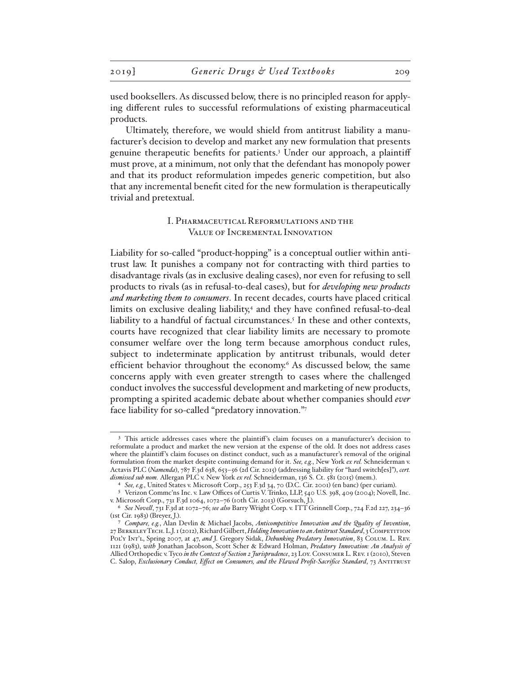used booksellers. As discussed below, there is no principled reason for applying different rules to successful reformulations of existing pharmaceutical products.

Ultimately, therefore, we would shield from antitrust liability a manufacturer's decision to develop and market any new formulation that presents genuine therapeutic benefits for patients.3 Under our approach, a plaintiff must prove, at a minimum, not only that the defendant has monopoly power and that its product reformulation impedes generic competition, but also that any incremental benefit cited for the new formulation is therapeutically trivial and pretextual.

### I. Pharmaceutical Reformulations and the Value of Incremental Innovation

Liability for so-called "product-hopping" is a conceptual outlier within antitrust law. It punishes a company not for contracting with third parties to disadvantage rivals (as in exclusive dealing cases), nor even for refusing to sell products to rivals (as in refusal-to-deal cases), but for *developing new products and marketing them to consumers*. In recent decades, courts have placed critical limits on exclusive dealing liability,<sup>4</sup> and they have confined refusal-to-deal liability to a handful of factual circumstances.<sup>5</sup> In these and other contexts, courts have recognized that clear liability limits are necessary to promote consumer welfare over the long term because amorphous conduct rules, subject to indeterminate application by antitrust tribunals, would deter efficient behavior throughout the economy.<sup>6</sup> As discussed below, the same concerns apply with even greater strength to cases where the challenged conduct involves the successful development and marketing of new products, prompting a spirited academic debate about whether companies should *ever* face liability for so-called "predatory innovation."7

<sup>&</sup>lt;sup>3</sup> This article addresses cases where the plaintiff's claim focuses on a manufacturer's decision to reformulate a product and market the new version at the expense of the old. It does not address cases where the plaintiff 's claim focuses on distinct conduct, such as a manufacturer's removal of the original formulation from the market despite continuing demand for it. *See, e.g.*, New York *ex rel.* Schneiderman v. Actavis PLC (*Namenda*), 787 F.3d 638, 653–56 (2d Cir. 2015) (addressing liability for "hard switch[es]"), *cert. dismissed sub nom.* Allergan PLC v. New York *ex rel.* Schneiderman, 136 S. Ct. 581 (2015) (mem.).

<sup>4</sup> *See, e.g.*, United States v. Microsoft Corp., 253 F.3d 34, 70 (D.C. Cir. 2001) (en banc) (per curiam).

<sup>5</sup> Verizon Commc'ns Inc. v. Law Offices of Curtis V. Trinko, LLP, 540 U.S. 398, 409 (2004); Novell, Inc. v. Microsoft Corp., 731 F.3d 1064, 1072–76 (10th Cir. 2013) (Gorsuch, J.).

<sup>6</sup> *See Novell*, 731 F.3d at 1072–76; *see also* Barry Wright Corp. v. ITT Grinnell Corp., 724 F.2d 227, 234–36 (1st Cir. 1983) (Breyer, J.).

<sup>7</sup> *Compare, e.g.*, Alan Devlin & Michael Jacobs, *Anticompetitive Innovation and the Quality of Invention*, 27 Berkeley Tech. L.J. 1 (2012), Richard Gilbert, *Holding Innovation to an Antitrust Standard*, 3 Competition Pol'y Int'l, Spring 2007, at 47, *and* J. Gregory Sidak, *Debunking Predatory Innovation*, 83 Colum. L. Rev. 1121 (1983), *with* Jonathan Jacobson, Scott Scher & Edward Holman, *Predatory Innovation: An Analysis of*  Allied Orthopedic v. Tyco *in the Context of Section 2 Jurisprudence*, 23 Loy. Consumer L. Rev. 1 (2010), Steven C. Salop, *Exclusionary Conduct, Effect on Consumers, and the Flawed Profit-Sacrifice Standard*, 73 Antitrust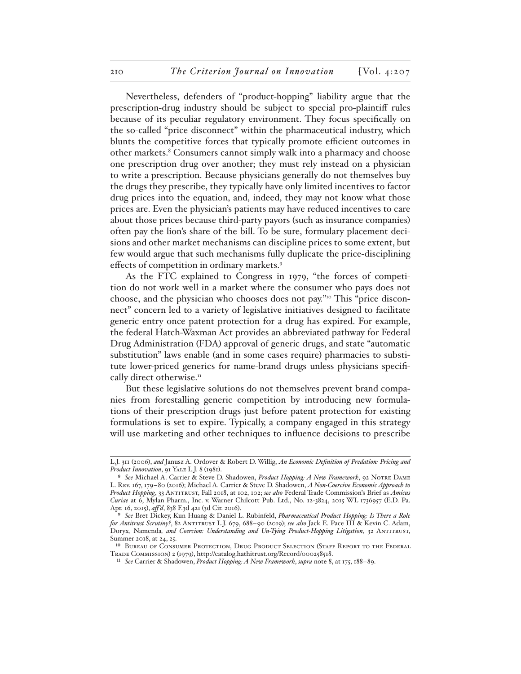Nevertheless, defenders of "product-hopping" liability argue that the prescription-drug industry should be subject to special pro-plaintiff rules because of its peculiar regulatory environment. They focus specifically on the so-called "price disconnect" within the pharmaceutical industry, which blunts the competitive forces that typically promote efficient outcomes in other markets.<sup>8</sup> Consumers cannot simply walk into a pharmacy and choose one prescription drug over another; they must rely instead on a physician to write a prescription. Because physicians generally do not themselves buy the drugs they prescribe, they typically have only limited incentives to factor drug prices into the equation, and, indeed, they may not know what those prices are. Even the physician's patients may have reduced incentives to care about those prices because third-party payors (such as insurance companies) often pay the lion's share of the bill. To be sure, formulary placement decisions and other market mechanisms can discipline prices to some extent, but few would argue that such mechanisms fully duplicate the price-disciplining effects of competition in ordinary markets.9

As the FTC explained to Congress in 1979, "the forces of competition do not work well in a market where the consumer who pays does not choose, and the physician who chooses does not pay."10 This "price disconnect" concern led to a variety of legislative initiatives designed to facilitate generic entry once patent protection for a drug has expired. For example, the federal Hatch-Waxman Act provides an abbreviated pathway for Federal Drug Administration (FDA) approval of generic drugs, and state "automatic substitution" laws enable (and in some cases require) pharmacies to substitute lower-priced generics for name-brand drugs unless physicians specifically direct otherwise.<sup>11</sup>

But these legislative solutions do not themselves prevent brand companies from forestalling generic competition by introducing new formulations of their prescription drugs just before patent protection for existing formulations is set to expire. Typically, a company engaged in this strategy will use marketing and other techniques to influence decisions to prescribe

L.J. 311 (2006), *and* Janusz A. Ordover & Robert D. Willig, *An Economic Definition of Predation: Pricing and Product Innovation*, 91 Yale L.J. 8 (1981).

<sup>8</sup> *See* Michael A. Carrier & Steve D. Shadowen, *Product Hopping: A New Framework*, 92 Notre Dame L. Rev. 167, 179–80 (2016); Michael A. Carrier & Steve D. Shadowen, *A Non-Coercive Economic Approach to Product Hopping*, 33 Antitrust, Fall 2018, at 102, 102; *see also* Federal Trade Commission's Brief as *Amicus Curiae* at 6, Mylan Pharm., Inc. v. Warner Chilcott Pub. Ltd., No. 12-3824, 2015 WL 1736957 (E.D. Pa. Apr. 16, 2015), *aff 'd*, 838 F.3d 421 (3d Cir. 2016).

<sup>9</sup> *See* Bret Dickey, Kun Huang & Daniel L. Rubinfeld, *Pharmaceutical Product Hopping: Is There a Role for Antitrust Scrutiny?*, 82 Antitrust L.J. 679, 688–90 (2019); *see also* Jack E. Pace III & Kevin C. Adam, Doryx*,* Namenda*, and Coercion: Understanding and Un-Tying Product-Hopping Litigation*, 32 Antitrust, Summer 2018, at 24, 25.

<sup>10</sup> Bureau of Consumer Protection, Drug Product Selection (Staff Report to the Federal Trade Commission) 2 (1979), http://catalog.hathitrust.org/Record/000258518.

<sup>11</sup> *See* Carrier & Shadowen, *Product Hopping: A New Framework*, *supra* note 8, at 175, 188–89.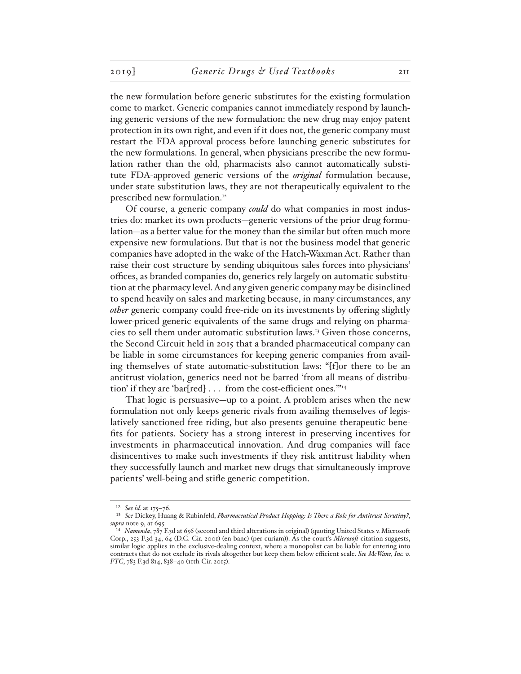the new formulation before generic substitutes for the existing formulation come to market. Generic companies cannot immediately respond by launching generic versions of the new formulation: the new drug may enjoy patent protection in its own right, and even if it does not, the generic company must restart the FDA approval process before launching generic substitutes for the new formulations. In general, when physicians prescribe the new formulation rather than the old, pharmacists also cannot automatically substitute FDA-approved generic versions of the *original* formulation because, under state substitution laws, they are not therapeutically equivalent to the prescribed new formulation.12

Of course, a generic company *could* do what companies in most industries do: market its own products—generic versions of the prior drug formulation—as a better value for the money than the similar but often much more expensive new formulations. But that is not the business model that generic companies have adopted in the wake of the Hatch-Waxman Act. Rather than raise their cost structure by sending ubiquitous sales forces into physicians' offices, as branded companies do, generics rely largely on automatic substitution at the pharmacy level. And any given generic company may be disinclined to spend heavily on sales and marketing because, in many circumstances, any *other* generic company could free-ride on its investments by offering slightly lower-priced generic equivalents of the same drugs and relying on pharmacies to sell them under automatic substitution laws.13 Given those concerns, the Second Circuit held in 2015 that a branded pharmaceutical company can be liable in some circumstances for keeping generic companies from availing themselves of state automatic-substitution laws: "[f]or there to be an antitrust violation, generics need not be barred 'from all means of distribution' if they are 'bar[red] . . . from the cost-efficient ones.'"14

That logic is persuasive—up to a point. A problem arises when the new formulation not only keeps generic rivals from availing themselves of legislatively sanctioned free riding, but also presents genuine therapeutic benefits for patients. Society has a strong interest in preserving incentives for investments in pharmaceutical innovation. And drug companies will face disincentives to make such investments if they risk antitrust liability when they successfully launch and market new drugs that simultaneously improve patients' well-being and stifle generic competition.

<sup>12</sup> *See id.* at 175–76.

<sup>13</sup> *See* Dickey, Huang & Rubinfeld, *Pharmaceutical Product Hopping: Is There a Role for Antitrust Scrutiny?*, *supra* note 9, at 695.

<sup>14</sup> *Namenda*, 787 F.3d at 656 (second and third alterations in original) (quoting United States v. Microsoft Corp., 253 F.3d 34, 64 (D.C. Cir. 2001) (en banc) (per curiam)). As the court's *Microsoft* citation suggests, similar logic applies in the exclusive-dealing context, where a monopolist can be liable for entering into contracts that do not exclude its rivals altogether but keep them below efficient scale. *See McWane, Inc. v. FTC*, 783 F.3d 814, 838–40 (11th Cir. 2015).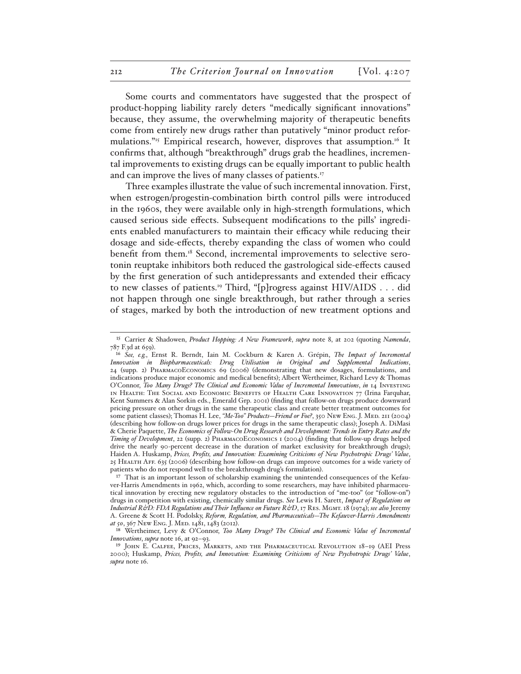Some courts and commentators have suggested that the prospect of product-hopping liability rarely deters "medically significant innovations" because, they assume, the overwhelming majority of therapeutic benefits come from entirely new drugs rather than putatively "minor product reformulations.<sup> $n_5$ </sup> Empirical research, however, disproves that assumption.<sup>16</sup> It confirms that, although "breakthrough" drugs grab the headlines, incremental improvements to existing drugs can be equally important to public health and can improve the lives of many classes of patients.<sup>17</sup>

Three examples illustrate the value of such incremental innovation. First, when estrogen/progestin-combination birth control pills were introduced in the 1960s, they were available only in high-strength formulations, which caused serious side effects. Subsequent modifications to the pills' ingredients enabled manufacturers to maintain their efficacy while reducing their dosage and side-effects, thereby expanding the class of women who could benefit from them.18 Second, incremental improvements to selective serotonin reuptake inhibitors both reduced the gastrological side-effects caused by the first generation of such antidepressants and extended their efficacy to new classes of patients.<sup>19</sup> Third, "[p]rogress against HIV/AIDS . . . did not happen through one single breakthrough, but rather through a series of stages, marked by both the introduction of new treatment options and

<sup>15</sup> Carrier & Shadowen, *Product Hopping: A New Framework*, *supra* note 8, at 202 (quoting *Namenda*, 787 F.3d at 659).

<sup>16</sup> *See, e.g.*, Ernst R. Berndt, Iain M. Cockburn & Karen A. Grépin, *The Impact of Incremental Innovation in Biopharmaceuticals: Drug Utilisation in Original and Supplemental Indications*, 24 (supp. 2) PharmacoEconomics 69 (2006) (demonstrating that new dosages, formulations, and indications produce major economic and medical benefits); Albert Wertheimer, Richard Levy & Thomas O'Connor, *Too Many Drugs? The Clinical and Economic Value of Incremental Innovations*, *in* 14 Investing in Health: The Social and Economic Benefits of Health Care Innovation 77 (Irina Farquhar, Kent Summers & Alan Sorkin eds., Emerald Grp. 2001) (finding that follow-on drugs produce downward pricing pressure on other drugs in the same therapeutic class and create better treatment outcomes for some patient classes); Thomas H. Lee, *"Me-Too" Products—Friend or Foe?*, 350 New Eng. J. Med. 211 (2004) (describing how follow-on drugs lower prices for drugs in the same therapeutic class); Joseph A. DiMasi & Cherie Paquette, *The Economics of Follow-On Drug Research and Development: Trends in Entry Rates and the Timing of Development*, 22 (supp. 2) PharmacoEconomics 1 (2004) (finding that follow-up drugs helped drive the nearly 90-percent decrease in the duration of market exclusivity for breakthrough drugs); Haiden A. Huskamp, *Prices, Profits, and Innovation: Examining Criticisms of New Psychotropic Drugs' Value*, 25 Health Aff. 635 (2006) (describing how follow-on drugs can improve outcomes for a wide variety of patients who do not respond well to the breakthrough drug's formulation).

<sup>&</sup>lt;sup>17</sup> That is an important lesson of scholarship examining the unintended consequences of the Kefauver-Harris Amendments in 1962, which, according to some researchers, may have inhibited pharmaceutical innovation by erecting new regulatory obstacles to the introduction of "me-too" (or "follow-on") drugs in competition with existing, chemically similar drugs. *See* Lewis H. Sarett, *Impact of Regulations on Industrial R&D: FDA Regulations and Their Influence on Future R&D, 17 RES. MGMT. 18 (1974); see also Jeremy* A. Greene & Scott H. Podolsky, *Reform, Regulation, and Pharmaceuticals—The Kefauver-Harris Amendments at 50*, 367 New Eng. J. Med. 1481, 1483 (2012).

<sup>18</sup> Wertheimer, Levy & O'Connor, *Too Many Drugs? The Clinical and Economic Value of Incremental Innovations*, *supra* note 16, at 92–93.

<sup>19</sup> John E. Calfee, Prices, Markets, and the Pharmaceutical Revolution 18–19 (AEI Press 2000); Huskamp, *Prices, Profits, and Innovation: Examining Criticisms of New Psychotropic Drugs' Value*, *supra* note 16.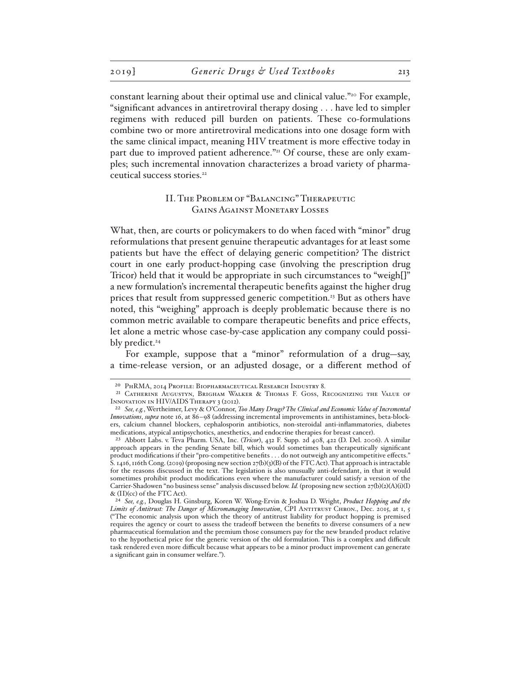constant learning about their optimal use and clinical value."<sup>20</sup> For example, "significant advances in antiretroviral therapy dosing . . . have led to simpler regimens with reduced pill burden on patients. These co-formulations combine two or more antiretroviral medications into one dosage form with the same clinical impact, meaning HIV treatment is more effective today in part due to improved patient adherence."<sup>21</sup> Of course, these are only examples; such incremental innovation characterizes a broad variety of pharmaceutical success stories.<sup>22</sup>

### II. The Problem of "Balancing" Therapeutic Gains Against Monetary Losses

What, then, are courts or policymakers to do when faced with "minor" drug reformulations that present genuine therapeutic advantages for at least some patients but have the effect of delaying generic competition? The district court in one early product-hopping case (involving the prescription drug Tricor) held that it would be appropriate in such circumstances to "weigh[]" a new formulation's incremental therapeutic benefits against the higher drug prices that result from suppressed generic competition.23 But as others have noted, this "weighing" approach is deeply problematic because there is no common metric available to compare therapeutic benefits and price effects, let alone a metric whose case-by-case application any company could possibly predict. $24$ 

For example, suppose that a "minor" reformulation of a drug—say, a time-release version, or an adjusted dosage, or a different method of

<sup>20</sup> PhRMA, 2014 Profile: Biopharmaceutical Research Industry 8.

<sup>21</sup> Catherine Augustyn, Brigham Walker & Thomas F. Goss, Recognizing the Value of Innovation in HIV/AIDS Therapy 3 (2012).

<sup>22</sup> *See, e.g.*, Wertheimer, Levy & O'Connor, *Too Many Drugs? The Clinical and Economic Value of Incremental Innovations*, *supra* note 16, at 86–98 (addressing incremental improvements in antihistamines, beta-blockers, calcium channel blockers, cephalosporin antibiotics, non-steroidal anti-inflammatories, diabetes medications, atypical antipsychotics, anesthetics, and endocrine therapies for breast cancer).

<sup>23</sup> Abbott Labs. v. Teva Pharm. USA, Inc. (*Tricor*), 432 F. Supp. 2d 408, 422 (D. Del. 2006). A similar approach appears in the pending Senate bill, which would sometimes ban therapeutically significant product modifications if their "pro-competitive benefits . . . do not outweigh any anticompetitive effects." S. 1416, 116th Cong. (2019) (proposing new section 27(b)(3)(B) of the FTC Act). That approach is intractable for the reasons discussed in the text. The legislation is also unusually anti-defendant, in that it would sometimes prohibit product modifications even where the manufacturer could satisfy a version of the Carrier-Shadowen "no business sense" analysis discussed below. *Id.* (proposing new section 27(b)(2)(A)(i)(I) & (II)(cc) of the FTC Act).

<sup>24</sup> *See, e.g.*, Douglas H. Ginsburg, Koren W. Wong-Ervin & Joshua D. Wright, *Product Hopping and the*  Limits of Antitrust: The Danger of Micromanaging Innovation, CPI ANTITRUST CHRON., Dec. 2015, at 1, 5 ("The economic analysis upon which the theory of antitrust liability for product hopping is premised requires the agency or court to assess the tradeoff between the benefits to diverse consumers of a new pharmaceutical formulation and the premium those consumers pay for the new branded product relative to the hypothetical price for the generic version of the old formulation. This is a complex and difficult task rendered even more difficult because what appears to be a minor product improvement can generate a significant gain in consumer welfare.").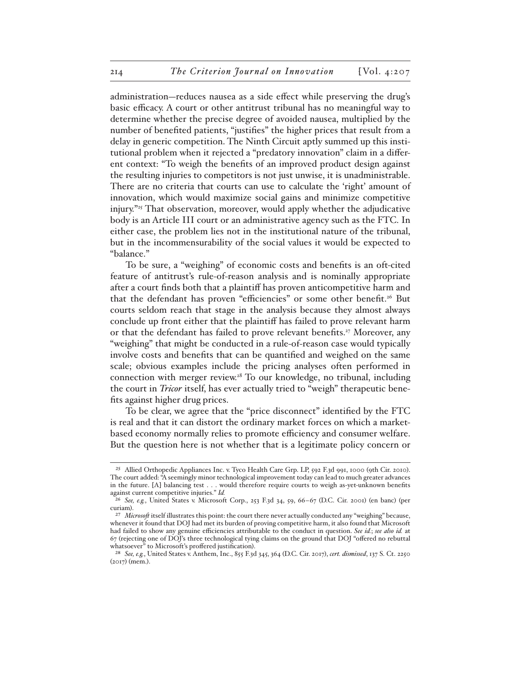administration—reduces nausea as a side effect while preserving the drug's basic efficacy. A court or other antitrust tribunal has no meaningful way to determine whether the precise degree of avoided nausea, multiplied by the number of benefited patients, "justifies" the higher prices that result from a delay in generic competition. The Ninth Circuit aptly summed up this institutional problem when it rejected a "predatory innovation" claim in a different context: "To weigh the benefits of an improved product design against the resulting injuries to competitors is not just unwise, it is unadministrable. There are no criteria that courts can use to calculate the 'right' amount of innovation, which would maximize social gains and minimize competitive injury."25 That observation, moreover, would apply whether the adjudicative body is an Article III court or an administrative agency such as the FTC. In either case, the problem lies not in the institutional nature of the tribunal, but in the incommensurability of the social values it would be expected to "balance."

To be sure, a "weighing" of economic costs and benefits is an oft-cited feature of antitrust's rule-of-reason analysis and is nominally appropriate after a court finds both that a plaintiff has proven anticompetitive harm and that the defendant has proven "efficiencies" or some other benefit.<sup>26</sup> But courts seldom reach that stage in the analysis because they almost always conclude up front either that the plaintiff has failed to prove relevant harm or that the defendant has failed to prove relevant benefits.<sup>27</sup> Moreover, any "weighing" that might be conducted in a rule-of-reason case would typically involve costs and benefits that can be quantified and weighed on the same scale; obvious examples include the pricing analyses often performed in connection with merger review.28 To our knowledge, no tribunal, including the court in *Tricor* itself, has ever actually tried to "weigh" therapeutic benefits against higher drug prices.

To be clear, we agree that the "price disconnect" identified by the FTC is real and that it can distort the ordinary market forces on which a marketbased economy normally relies to promote efficiency and consumer welfare. But the question here is not whether that is a legitimate policy concern or

<sup>25</sup> Allied Orthopedic Appliances Inc. v. Tyco Health Care Grp. LP, 592 F.3d 991, 1000 (9th Cir. 2010). The court added: "A seemingly minor technological improvement today can lead to much greater advances in the future. [A] balancing test . . . would therefore require courts to weigh as-yet-unknown benefits against current competitive injuries." *Id.*

<sup>26</sup> *See, e.g.*, United States v. Microsoft Corp., 253 F.3d 34, 59, 66–67 (D.C. Cir. 2001) (en banc) (per curiam).

<sup>&</sup>lt;sup>27</sup> *Microsoft* itself illustrates this point: the court there never actually conducted any "weighing" because, whenever it found that DOJ had met its burden of proving competitive harm, it also found that Microsoft had failed to show any genuine efficiencies attributable to the conduct in question. *See id.*; *see also id.* at 67 (rejecting one of DOJ's three technological tying claims on the ground that DOJ "offered no rebuttal whatsoever" to Microsoft's proffered justification).

<sup>28</sup> *See, e.g.*, United States v. Anthem, Inc., 855 F.3d 345, 364 (D.C. Cir. 2017), *cert. dismissed*, 137 S. Ct. 2250 (2017) (mem.).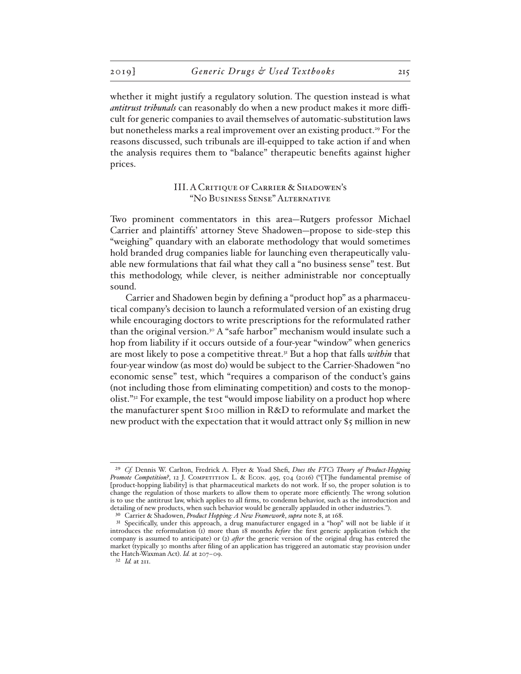whether it might justify a regulatory solution. The question instead is what *antitrust tribunals* can reasonably do when a new product makes it more difficult for generic companies to avail themselves of automatic-substitution laws but nonetheless marks a real improvement over an existing product.<sup>29</sup> For the reasons discussed, such tribunals are ill-equipped to take action if and when the analysis requires them to "balance" therapeutic benefits against higher prices.

## III. A Critique of Carrier & Shadowen's "No Business Sense" Alternative

Two prominent commentators in this area—Rutgers professor Michael Carrier and plaintiffs' attorney Steve Shadowen—propose to side-step this "weighing" quandary with an elaborate methodology that would sometimes hold branded drug companies liable for launching even therapeutically valuable new formulations that fail what they call a "no business sense" test. But this methodology, while clever, is neither administrable nor conceptually sound.

Carrier and Shadowen begin by defining a "product hop" as a pharmaceutical company's decision to launch a reformulated version of an existing drug while encouraging doctors to write prescriptions for the reformulated rather than the original version.30 A "safe harbor" mechanism would insulate such a hop from liability if it occurs outside of a four-year "window" when generics are most likely to pose a competitive threat.31 But a hop that falls *within* that four-year window (as most do) would be subject to the Carrier-Shadowen "no economic sense" test, which "requires a comparison of the conduct's gains (not including those from eliminating competition) and costs to the monopolist."32 For example, the test "would impose liability on a product hop where the manufacturer spent \$100 million in R&D to reformulate and market the new product with the expectation that it would attract only \$5 million in new

32 *Id.* at 211.

<sup>29</sup> *Cf.* Dennis W. Carlton, Fredrick A. Flyer & Yoad Shefi, *Does the FTC's Theory of Product-Hopping*  Promote Competition?, 12 J. COMPETITION L. & ECON. 495, 504 (2016) ("[T]he fundamental premise of [product-hopping liability] is that pharmaceutical markets do not work. If so, the proper solution is to change the regulation of those markets to allow them to operate more efficiently. The wrong solution is to use the antitrust law, which applies to all firms, to condemn behavior, such as the introduction and detailing of new products, when such behavior would be generally applauded in other industries.").

<sup>30</sup> Carrier & Shadowen, *Product Hopping: A New Framework*, *supra* note 8, at 168.

<sup>31</sup> Specifically, under this approach, a drug manufacturer engaged in a "hop" will not be liable if it introduces the reformulation (1) more than 18 months *before* the first generic application (which the company is assumed to anticipate) or (2) *after* the generic version of the original drug has entered the market (typically 30 months after filing of an application has triggered an automatic stay provision under the Hatch-Waxman Act). *Id.* at 207–09.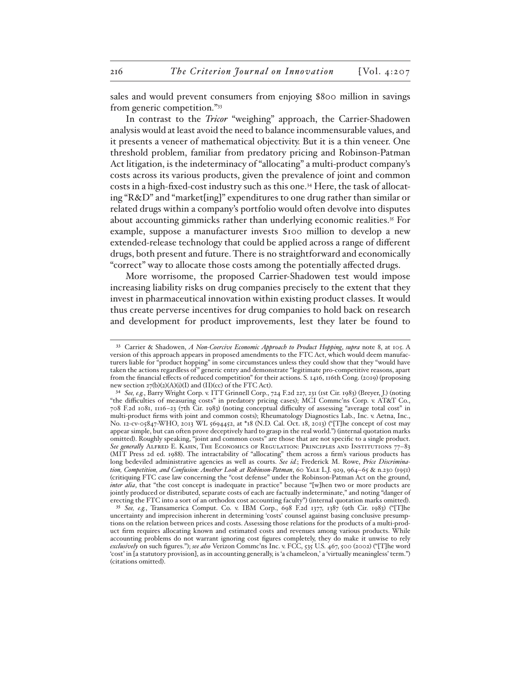sales and would prevent consumers from enjoying \$800 million in savings from generic competition."33

In contrast to the *Tricor* "weighing" approach, the Carrier-Shadowen analysis would at least avoid the need to balance incommensurable values, and it presents a veneer of mathematical objectivity. But it is a thin veneer. One threshold problem, familiar from predatory pricing and Robinson-Patman Act litigation, is the indeterminacy of "allocating" a multi-product company's costs across its various products, given the prevalence of joint and common costs in a high-fixed-cost industry such as this one.34 Here, the task of allocating "R&D" and "market[ing]" expenditures to one drug rather than similar or related drugs within a company's portfolio would often devolve into disputes about accounting gimmicks rather than underlying economic realities.<sup>35</sup> For example, suppose a manufacturer invests \$100 million to develop a new extended-release technology that could be applied across a range of different drugs, both present and future. There is no straightforward and economically "correct" way to allocate those costs among the potentially affected drugs.

More worrisome, the proposed Carrier-Shadowen test would impose increasing liability risks on drug companies precisely to the extent that they invest in pharmaceutical innovation within existing product classes. It would thus create perverse incentives for drug companies to hold back on research and development for product improvements, lest they later be found to

<sup>33</sup> Carrier & Shadowen, *A Non-Coercive Economic Approach to Product Hopping*, *supra* note 8, at 105. A version of this approach appears in proposed amendments to the FTC Act, which would deem manufacturers liable for "product hopping" in some circumstances unless they could show that they "would have taken the actions regardless of " generic entry and demonstrate "legitimate pro-competitive reasons, apart from the financial effects of reduced competition" for their actions. S. 1416, 116th Cong. (2019) (proposing new section  $27(b)(2)(A)(i)(I)$  and  $(II)(cc)$  of the FTC Act).

<sup>34</sup> *See, e.g.*, Barry Wright Corp. v. ITT Grinnell Corp., 724 F.2d 227, 231 (1st Cir. 1983) (Breyer, J.) (noting "the difficulties of measuring costs" in predatory pricing cases); MCI Commc'ns Corp. v. AT&T Co., 708 F.2d 1081, 1116–23 (7th Cir. 1983) (noting conceptual difficulty of assessing "average total cost" in multi-product firms with joint and common costs); Rheumatology Diagnostics Lab., Inc. v. Aetna, Inc., No. 12-cv-05847-WHO, 2013 WL 5694452, at \*18 (N.D. Cal. Oct. 18, 2013) ("[T]he concept of cost may appear simple, but can often prove deceptively hard to grasp in the real world.") (internal quotation marks omitted). Roughly speaking, "joint and common costs" are those that are not specific to a single product. See generally ALFRED E. KAHN, THE ECONOMICS OF REGULATION: PRINCIPLES AND INSTITUTIONS 77-83 (MIT Press 2d ed. 1988). The intractability of "allocating" them across a firm's various products has long bedeviled administrative agencies as well as courts. *See id.*; Frederick M. Rowe, *Price Discrimination, Competition, and Confusion: Another Look at Robinson-Patman*, 60 Yale L.J. 929, 964–65 & n.230 (1951) (critiquing FTC case law concerning the "cost defense" under the Robinson-Patman Act on the ground, *inter alia*, that "the cost concept is inadequate in practice" because "[w]hen two or more products are jointly produced or distributed, separate costs of each are factually indeterminate," and noting "danger of erecting the FTC into a sort of an orthodox cost accounting faculty") (internal quotation marks omitted).

<sup>35</sup> *See, e.g.*, Transamerica Comput. Co. v. IBM Corp., 698 F.2d 1377, 1387 (9th Cir. 1983) ("[T]he uncertainty and imprecision inherent in determining 'costs' counsel against basing conclusive presumptions on the relation between prices and costs. Assessing those relations for the products of a multi-product firm requires allocating known and estimated costs and revenues among various products. While accounting problems do not warrant ignoring cost figures completely, they do make it unwise to rely *exclusively* on such figures."); *see also* Verizon Commc'ns Inc. v. FCC, 535 U.S. 467, 500 (2002) ("[T]he word 'cost' in [a statutory provision], as in accounting generally, is 'a chameleon,' a 'virtually meaningless' term.") (citations omitted).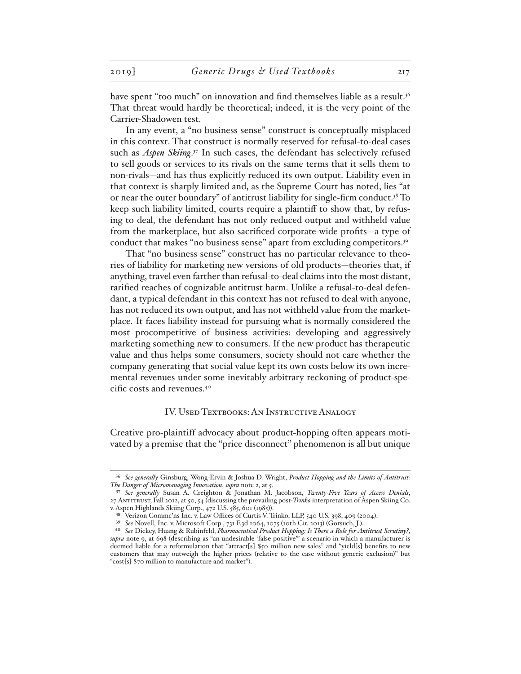have spent "too much" on innovation and find themselves liable as a result.<sup>36</sup> That threat would hardly be theoretical; indeed, it is the very point of the Carrier-Shadowen test.

In any event, a "no business sense" construct is conceptually misplaced in this context. That construct is normally reserved for refusal-to-deal cases such as *Aspen Skiing*. 37 In such cases, the defendant has selectively refused to sell goods or services to its rivals on the same terms that it sells them to non-rivals—and has thus explicitly reduced its own output. Liability even in that context is sharply limited and, as the Supreme Court has noted, lies "at or near the outer boundary" of antitrust liability for single-firm conduct.38 To keep such liability limited, courts require a plaintiff to show that, by refusing to deal, the defendant has not only reduced output and withheld value from the marketplace, but also sacrificed corporate-wide profits—a type of conduct that makes "no business sense" apart from excluding competitors.<sup>39</sup>

That "no business sense" construct has no particular relevance to theories of liability for marketing new versions of old products—theories that, if anything, travel even farther than refusal-to-deal claims into the most distant, rarified reaches of cognizable antitrust harm. Unlike a refusal-to-deal defendant, a typical defendant in this context has not refused to deal with anyone, has not reduced its own output, and has not withheld value from the marketplace. It faces liability instead for pursuing what is normally considered the most procompetitive of business activities: developing and aggressively marketing something new to consumers. If the new product has therapeutic value and thus helps some consumers, society should not care whether the company generating that social value kept its own costs below its own incremental revenues under some inevitably arbitrary reckoning of product-specific costs and revenues.40

#### IV. USED TEXTBOOKS: AN INSTRUCTIVE ANALOGY

Creative pro-plaintiff advocacy about product-hopping often appears motivated by a premise that the "price disconnect" phenomenon is all but unique

<sup>36</sup> *See generally* Ginsburg, Wong-Ervin & Joshua D. Wright, *Product Hopping and the Limits of Antitrust: The Danger of Micromanaging Innovation*, *supra* note 2, at 5.

<sup>37</sup> *See generally* Susan A. Creighton & Jonathan M. Jacobson, *Twenty-Five Years of Access Denials*, 27 Antitrust, Fall 2012, at 50, 54 (discussing the prevailing post-*Trinko* interpretation of Aspen Skiing Co. v. Aspen Highlands Skiing Corp., 472 U.S. 585, 601 (1985)).

<sup>38</sup> Verizon Commc'ns Inc. v. Law Offices of Curtis V. Trinko, LLP, 540 U.S. 398, 409 (2004).

<sup>39</sup> *See* Novell, Inc. v. Microsoft Corp., 731 F.3d 1064, 1075 (10th Cir. 2013) (Gorsuch, J.).

<sup>40</sup> *See* Dickey, Huang & Rubinfeld, *Pharmaceutical Product Hopping: Is There a Role for Antitrust Scrutiny?*, *supra* note 9, at 698 (describing as "an undesirable 'false positive'" a scenario in which a manufacturer is deemed liable for a reformulation that "attract[s] \$50 million new sales" and "yield[s] benefits to new customers that may outweigh the higher prices (relative to the case without generic exclusion)" but "cost[s] \$70 million to manufacture and market").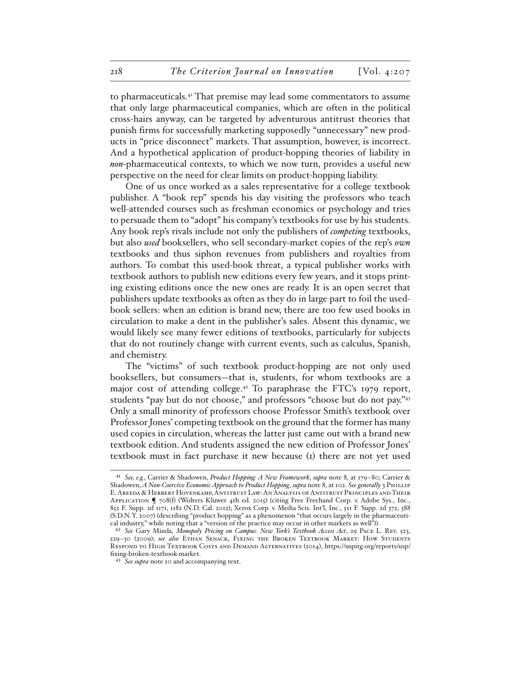to pharmaceuticals.41 That premise may lead some commentators to assume that only large pharmaceutical companies, which are often in the political cross-hairs anyway, can be targeted by adventurous antitrust theories that punish firms for successfully marketing supposedly "unnecessary" new products in "price disconnect" markets. That assumption, however, is incorrect. And a hypothetical application of product-hopping theories of liability in *non*-pharmaceutical contexts, to which we now turn, provides a useful new perspective on the need for clear limits on product-hopping liability.

One of us once worked as a sales representative for a college textbook publisher. A "book rep" spends his day visiting the professors who teach well-attended courses such as freshman economics or psychology and tries to persuade them to "adopt" his company's textbooks for use by his students. Any book rep's rivals include not only the publishers of *competing* textbooks, but also *used* booksellers, who sell secondary-market copies of the rep's *own*  textbooks and thus siphon revenues from publishers and royalties from authors. To combat this used-book threat, a typical publisher works with textbook authors to publish new editions every few years, and it stops printing existing editions once the new ones are ready. It is an open secret that publishers update textbooks as often as they do in large part to foil the usedbook sellers: when an edition is brand new, there are too few used books in circulation to make a dent in the publisher's sales. Absent this dynamic, we would likely see many fewer editions of textbooks, particularly for subjects that do not routinely change with current events, such as calculus, Spanish, and chemistry.

The "victims" of such textbook product-hopping are not only used booksellers, but consumers—that is, students, for whom textbooks are a major cost of attending college.<sup>42</sup> To paraphrase the FTC's 1979 report, students "pay but do not choose," and professors "choose but do not pay."<sup>43</sup> Only a small minority of professors choose Professor Smith's textbook over Professor Jones' competing textbook on the ground that the former has many used copies in circulation, whereas the latter just came out with a brand new textbook edition. And students assigned the new edition of Professor Jones' textbook must in fact purchase it new because (1) there are not yet used

<sup>41</sup> *See, e.g.*, Carrier & Shadowen, *Product Hopping: A New Framework*, *supra* note 8, at 179–80; Carrier & Shadowen, *A Non-Coercive Economic Approach to Product Hopping*, *supra* note 8, at 102. *See generally* 3 Phillip E. Areeda & Herbert Hovenkamp, Antitrust Law: An Analysis of Antitrust Principles and Their Application ¶ 708(f) (Wolters Kluwer 4th ed. 2015) (citing Free Freehand Corp. v. Adobe Sys., Inc., 852 F. Supp. 2d 1171, 1182 (N.D. Cal. 2012); Xerox Corp. v. Media Scis. Int'l, Inc., 511 F. Supp. 2d 372, 388 (S.D.N.Y. 2007) (describing "product hopping" as a phenomenon "that occurs largely in the pharmaceutical industry," while noting that a "version of the practice may occur in other markets as well")).

<sup>42</sup> *See* Gary Minda, *Monopoly Pricing on Campus: New York's Textbook Access Act*, 29 Pace L. Rev. 523, 529–30 (2009); *see also* Ethan Senack, Fixing the Broken Textbook Market: How Students Respond to High Textbook Costs and Demand Alternatives (2014), https://uspirg.org/reports/usp/ fixing-broken-textbook-market.

<sup>43</sup> *See supra* note 10 and accompanying text.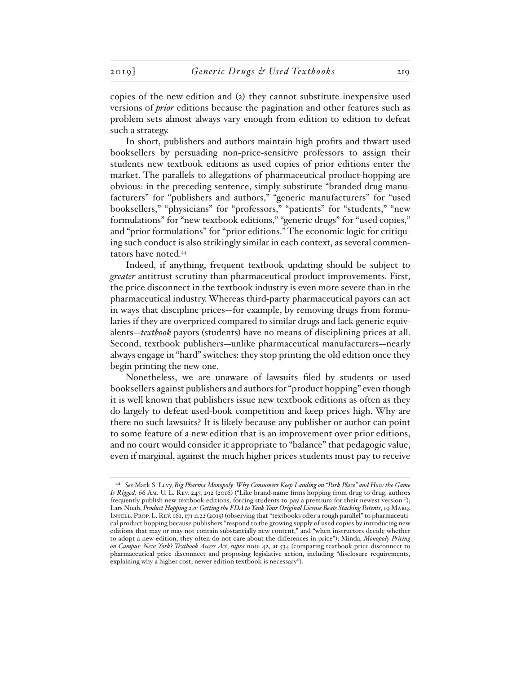copies of the new edition and (2) they cannot substitute inexpensive used versions of *prior* editions because the pagination and other features such as problem sets almost always vary enough from edition to edition to defeat such a strategy.

In short, publishers and authors maintain high profits and thwart used booksellers by persuading non-price-sensitive professors to assign their students new textbook editions as used copies of prior editions enter the market. The parallels to allegations of pharmaceutical product-hopping are obvious: in the preceding sentence, simply substitute "branded drug manufacturers" for "publishers and authors," "generic manufacturers" for "used booksellers," "physicians" for "professors," "patients" for "students," "new formulations" for "new textbook editions," "generic drugs" for "used copies," and "prior formulations" for "prior editions." The economic logic for critiquing such conduct is also strikingly similar in each context, as several commentators have noted.44

Indeed, if anything, frequent textbook updating should be subject to *greater* antitrust scrutiny than pharmaceutical product improvements. First, the price disconnect in the textbook industry is even more severe than in the pharmaceutical industry. Whereas third-party pharmaceutical payors can act in ways that discipline prices—for example, by removing drugs from formularies if they are overpriced compared to similar drugs and lack generic equivalents—*textbook* payors (students) have no means of disciplining prices at all. Second, textbook publishers—unlike pharmaceutical manufacturers—nearly always engage in "hard" switches: they stop printing the old edition once they begin printing the new one.

Nonetheless, we are unaware of lawsuits filed by students or used booksellers against publishers and authors for "product hopping" even though it is well known that publishers issue new textbook editions as often as they do largely to defeat used-book competition and keep prices high. Why are there no such lawsuits? It is likely because any publisher or author can point to some feature of a new edition that is an improvement over prior editions, and no court would consider it appropriate to "balance" that pedagogic value, even if marginal, against the much higher prices students must pay to receive

<sup>44</sup> *See* Mark S. Levy, *Big Pharma Monopoly: Why Consumers Keep Landing on "Park Place" and How the Game Is Rigged*, 66 Am. U. L. Rev. 247, 292 (2016) ("Like brand-name firms hopping from drug to drug, authors frequently publish new textbook editions, forcing students to pay a premium for their newest version."); Lars Noah, *Product Hopping 2.0: Getting the FDA to Yank Your Original License Beats Stacking Patents*, 19 Marq. Intell. Prop. L. Rev. 161, 171 n.22 (2015) (observing that "textbooks offer a rough parallel" to pharmaceutical product hopping because publishers "respond to the growing supply of used copies by introducing new editions that may or may not contain substantially new content," and "when instructors decide whether to adopt a new edition, they often do not care about the differences in price"); Minda, *Monopoly Pricing on Campus: New York's Textbook Access Act*, *supra* note 42, at 534 (comparing textbook price disconnect to pharmaceutical price disconnect and proposing legislative action, including "disclosure requirements, explaining why a higher cost, newer edition textbook is necessary").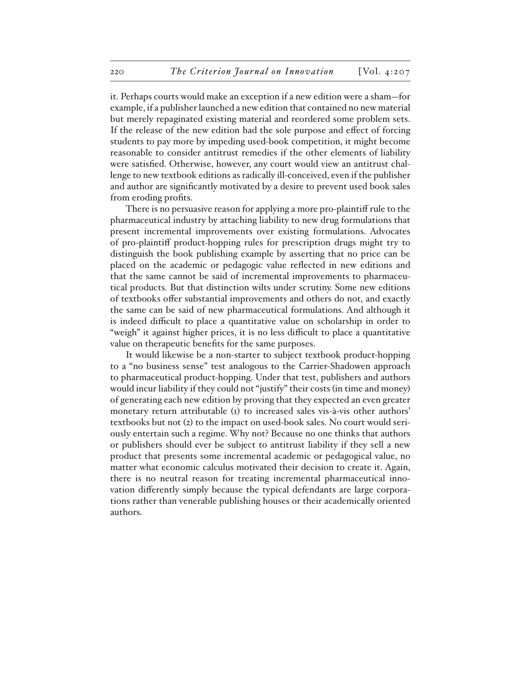it. Perhaps courts would make an exception if a new edition were a sham—for example, if a publisher launched a new edition that contained no new material but merely repaginated existing material and reordered some problem sets. If the release of the new edition had the sole purpose and effect of forcing students to pay more by impeding used-book competition, it might become reasonable to consider antitrust remedies if the other elements of liability were satisfied. Otherwise, however, any court would view an antitrust challenge to new textbook editions as radically ill-conceived, even if the publisher and author are significantly motivated by a desire to prevent used book sales from eroding profits.

There is no persuasive reason for applying a more pro-plaintiff rule to the pharmaceutical industry by attaching liability to new drug formulations that present incremental improvements over existing formulations. Advocates of pro-plaintiff product-hopping rules for prescription drugs might try to distinguish the book publishing example by asserting that no price can be placed on the academic or pedagogic value reflected in new editions and that the same cannot be said of incremental improvements to pharmaceutical products. But that distinction wilts under scrutiny. Some new editions of textbooks offer substantial improvements and others do not, and exactly the same can be said of new pharmaceutical formulations. And although it is indeed difficult to place a quantitative value on scholarship in order to "weigh" it against higher prices, it is no less difficult to place a quantitative value on therapeutic benefits for the same purposes.

It would likewise be a non-starter to subject textbook product-hopping to a "no business sense" test analogous to the Carrier-Shadowen approach to pharmaceutical product-hopping. Under that test, publishers and authors would incur liability if they could not "justify" their costs (in time and money) of generating each new edition by proving that they expected an even greater monetary return attributable (1) to increased sales vis-à-vis other authors' textbooks but not (2) to the impact on used-book sales. No court would seriously entertain such a regime. Why not? Because no one thinks that authors or publishers should ever be subject to antitrust liability if they sell a new product that presents some incremental academic or pedagogical value, no matter what economic calculus motivated their decision to create it. Again, there is no neutral reason for treating incremental pharmaceutical innovation differently simply because the typical defendants are large corporations rather than venerable publishing houses or their academically oriented authors.